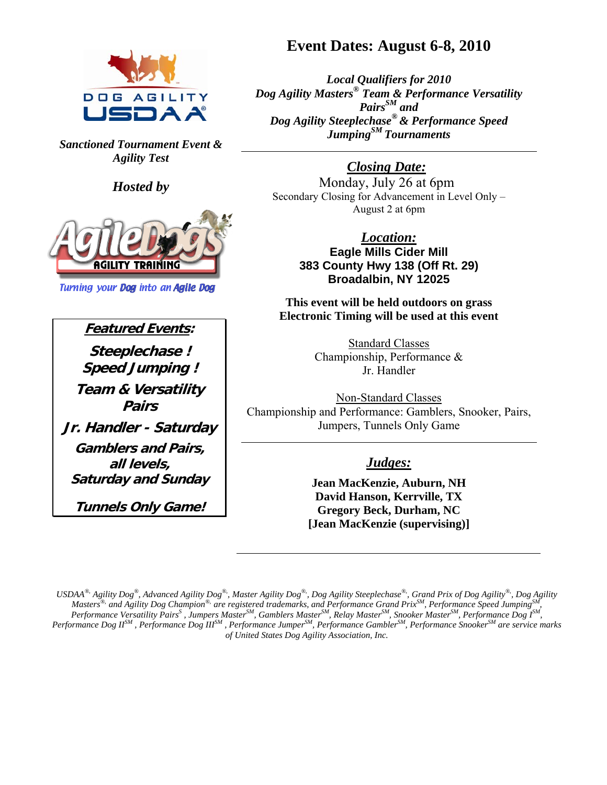

*Sanctioned Tournament Event & Agility Test* 

*Hosted by* 



**Turning your Dog into an Agile Dog** 

**Featured Events: Steeplechase ! Speed Jumping ! Team & Versatility Pairs Jr. Handler - Saturday Gamblers and Pairs, all levels, Saturday and Sunday** 

**Tunnels Only Game!**

# **Event Dates: August 6-8, 2010**

*Local Qualifiers for 2010 Dog Agility Masters® Team & Performance Versatility PairsSM and Dog Agility Steeplechase® & Performance Speed JumpingSM Tournaments* 

# *Closing Date:*

Monday, July 26 at 6pm Secondary Closing for Advancement in Level Only – August 2 at 6pm

> *Location:* **Eagle Mills Cider Mill 383 County Hwy 138 (Off Rt. 29) Broadalbin, NY 12025**

**This event will be held outdoors on grass Electronic Timing will be used at this event**

> Standard Classes Championship, Performance & Jr. Handler

Non-Standard Classes Championship and Performance: Gamblers, Snooker, Pairs, Jumpers, Tunnels Only Game

# *Judges:*

**Jean MacKenzie, Auburn, NH David Hanson, Kerrville, TX Gregory Beck, Durham, NC [Jean MacKenzie (supervising)]** 

*USDAA®, Agility Dog®, Advanced Agility Dog®,, Master Agility Dog®,, Dog Agility Steeplechase®,, Grand Prix of Dog Agility®,, Dog Agility Masters<sup>®,</sup> and Agility Dog Champion<sup>®,</sup> are registered trademarks, and Performance Grand Prix<sup>SM</sup>, Performance Speed Jumping<sup>S</sup> Performance Versatility PairsS , Jumpers MasterSM, Gamblers MasterSM, Relay MasterSM, Snooker MasterSM, Performance Dog ISM, Performance Dog IISM , Performance Dog IIISM , Performance JumperSM, Performance GamblerSM, Performance SnookerSM are service marks of United States Dog Agility Association, Inc.*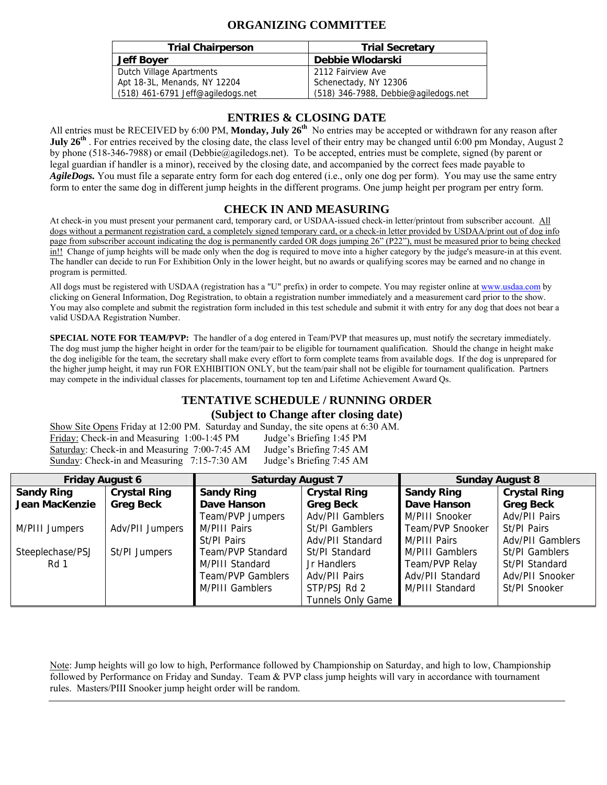## **ORGANIZING COMMITTEE**

| <b>Trial Chairperson</b>          | <b>Trial Secretary</b>               |
|-----------------------------------|--------------------------------------|
| <b>Jeff Boyer</b>                 | Debbie Wlodarski                     |
| Dutch Village Apartments          | 2112 Fairview Ave                    |
| Apt 18-3L, Menands, NY 12204      | Schenectady, NY 12306                |
| (518) 461-6791 Jeff@agiledogs.net | (518) 346-7988, Debbie@agiledogs.net |

### **ENTRIES & CLOSING DATE**

All entries must be RECEIVED by 6:00 PM, **Monday, July 26th** No entries may be accepted or withdrawn for any reason after **July 26<sup>th</sup>**. For entries received by the closing date, the class level of their entry may be changed until 6:00 pm Monday, August 2 by phone (518-346-7988) or email (Debbie@agiledogs.net). To be accepted, entries must be complete, signed (by parent or legal guardian if handler is a minor), received by the closing date, and accompanied by the correct fees made payable to *AgileDogs.* You must file a separate entry form for each dog entered (i.e., only one dog per form). You may use the same entry form to enter the same dog in different jump heights in the different programs. One jump height per program per entry form.

### **CHECK IN AND MEASURING**

At check-in you must present your permanent card, temporary card, or USDAA-issued check-in letter/printout from subscriber account. All dogs without a permanent registration card, a completely signed temporary card, or a check-in letter provided by USDAA/print out of dog info page from subscriber account indicating the dog is permanently carded OR dogs jumping 26" (P22"), must be measured prior to being checked in!! Change of jump heights will be made only when the dog is required to move into a higher category by the judge's measure-in at this event. The handler can decide to run For Exhibition Only in the lower height, but no awards or qualifying scores may be earned and no change in program is permitted.

All dogs must be registered with USDAA (registration has a "U" prefix) in order to compete. You may register online at www.usdaa.com by clicking on General Information, Dog Registration, to obtain a registration number immediately and a measurement card prior to the show. You may also complete and submit the registration form included in this test schedule and submit it with entry for any dog that does not bear a valid USDAA Registration Number.

**SPECIAL NOTE FOR TEAM/PVP:** The handler of a dog entered in Team/PVP that measures up, must notify the secretary immediately. The dog must jump the higher height in order for the team/pair to be eligible for tournament qualification. Should the change in height make the dog ineligible for the team, the secretary shall make every effort to form complete teams from available dogs. If the dog is unprepared for the higher jump height, it may run FOR EXHIBITION ONLY, but the team/pair shall not be eligible for tournament qualification. Partners may compete in the individual classes for placements, tournament top ten and Lifetime Achievement Award Qs.

# **TENTATIVE SCHEDULE / RUNNING ORDER**

#### **(Subject to Change after closing date)**

Show Site Opens Friday at 12:00 PM. Saturday and Sunday, the site opens at 6:30 AM. Friday: Check-in and Measuring 1:00-1:45 PM Judge's Briefing 1:45 PM Saturday: Check-in and Measuring 7:00-7:45 AM Judge's Briefing 7:45 AM Sunday: Check-in and Measuring 7:15-7:30 AM Judge's Briefing 7:45 AM

| <b>Friday August 6</b> |                     | <b>Saturday August 7</b> |                          |                        | <b>Sunday August 8</b> |
|------------------------|---------------------|--------------------------|--------------------------|------------------------|------------------------|
| <b>Sandy Ring</b>      | <b>Crystal Ring</b> | <b>Sandy Ring</b>        | <b>Crystal Ring</b>      | <b>Sandy Ring</b>      | <b>Crystal Ring</b>    |
| Jean MacKenzie         | <b>Greg Beck</b>    | Dave Hanson              | <b>Greg Beck</b>         | Dave Hanson            | <b>Greg Beck</b>       |
|                        |                     | Team/PVP Jumpers         | Adv/PII Gamblers         | M/PIII Snooker         | Adv/PII Pairs          |
| M/PIII Jumpers         | Adv/PII Jumpers     | M/PIII Pairs             | St/PI Gamblers           | Team/PVP Snooker       | St/PI Pairs            |
|                        |                     | St/PI Pairs              | Adv/PII Standard         | M/PIII Pairs           | Adv/PII Gamblers       |
| Steeplechase/PSJ       | St/PI Jumpers       | Team/PVP Standard        | St/PI Standard           | <b>M/PIII Gamblers</b> | St/PI Gamblers         |
| Rd 1                   |                     | M/PIII Standard          | Jr Handlers              | Team/PVP Relay         | St/PI Standard         |
|                        |                     | Team/PVP Gamblers        | Adv/PII Pairs            | Adv/PII Standard       | Adv/PII Snooker        |
|                        |                     | M/PIII Gamblers          | STP/PSJ Rd 2             | M/PIII Standard        | St/PI Snooker          |
|                        |                     |                          | <b>Tunnels Only Game</b> |                        |                        |

Note: Jump heights will go low to high, Performance followed by Championship on Saturday, and high to low, Championship followed by Performance on Friday and Sunday. Team & PVP class jump heights will vary in accordance with tournament rules. Masters/PIII Snooker jump height order will be random.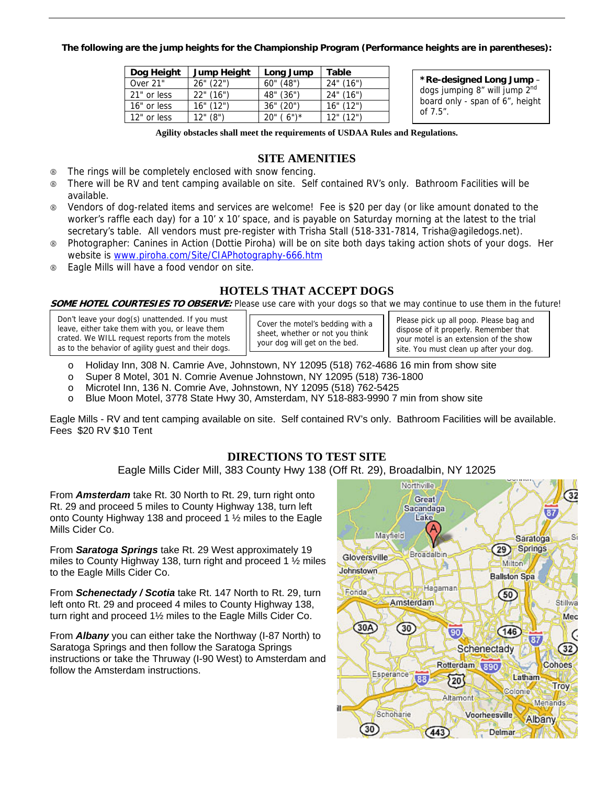#### **The following are the jump heights for the Championship Program (Performance heights are in parentheses):**

| Dog Height  | Jump Height | Long Jump       | Table                          |
|-------------|-------------|-----------------|--------------------------------|
| Over 21"    | 26" (22")   | 60" (48")       | 24" (16")                      |
| 21" or less | 22" (16")   | 48" (36")       | 24" (16")                      |
| 16" or less | 16" (12")   | 36" (20")       | 16" (12")                      |
| 12" or less | (8")        | $(6")^*$<br>20" | $12^{\circ}$ (12 <sup>")</sup> |

**\*Re-designed Long Jump** – dogs jumping 8" will jump 2<sup>nd</sup> board only - span of 6", height of 7.5".

**Agility obstacles shall meet the requirements of USDAA Rules and Regulations.**

## **SITE AMENITIES**

- 8 The rings will be completely enclosed with snow fencing.
- 8 There will be RV and tent camping available on site. Self contained RV's only. Bathroom Facilities will be available.
- 8 Vendors of dog-related items and services are welcome! Fee is \$20 per day (or like amount donated to the worker's raffle each day) for a 10' x 10' space, and is payable on Saturday morning at the latest to the trial secretary's table. All vendors must pre-register with Trisha Stall (518-331-7814, Trisha@agiledogs.net).
- 8 Photographer: Canines in Action (Dottie Piroha) will be on site both days taking action shots of your dogs. Her website is www.piroha.com/Site/CIAPhotography-666.htm
- 8 Eagle Mills will have a food vendor on site.

# **HOTELS THAT ACCEPT DOGS**

**SOME HOTEL COURTESIES TO OBSERVE:** Please use care with your dogs so that we may continue to use them in the future!

Don't leave your dog(s) unattended. If you must leave, either take them with you, or leave them crated. We WILL request reports from the motels as to the behavior of agility guest and their dogs.

Cover the motel's bedding with a sheet, whether or not you think your dog will get on the bed.

Please pick up all poop. Please bag and dispose of it properly. Remember that your motel is an extension of the show site. You must clean up after your dog.

- o Holiday Inn, 308 N. Camrie Ave, Johnstown, NY 12095 (518) 762-4686 16 min from show site
- o Super 8 Motel, 301 N. Comrie Avenue Johnstown, NY 12095 (518) 736-1800
- o Microtel Inn, 136 N. Comrie Ave, Johnstown, NY 12095 (518) 762-5425
- o Blue Moon Motel, 3778 State Hwy 30, Amsterdam, NY 518-883-9990 7 min from show site

Eagle Mills - RV and tent camping available on site. Self contained RV's only. Bathroom Facilities will be available. Fees \$20 RV \$10 Tent

# **DIRECTIONS TO TEST SITE**

Eagle Mills Cider Mill, 383 County Hwy 138 (Off Rt. 29), Broadalbin, NY 12025

From *Amsterdam* take Rt. 30 North to Rt. 29, turn right onto Rt. 29 and proceed 5 miles to County Highway 138, turn left onto County Highway 138 and proceed 1 ½ miles to the Eagle Mills Cider Co.

From *Saratoga Springs* take Rt. 29 West approximately 19 miles to County Highway 138, turn right and proceed 1 ½ miles to the Eagle Mills Cider Co.

From *Schenectady / Scotia* take Rt. 147 North to Rt. 29, turn left onto Rt. 29 and proceed 4 miles to County Highway 138, turn right and proceed 1½ miles to the Eagle Mills Cider Co.

From *Albany* you can either take the Northway (I-87 North) to Saratoga Springs and then follow the Saratoga Springs instructions or take the Thruway (I-90 West) to Amsterdam and follow the Amsterdam instructions.

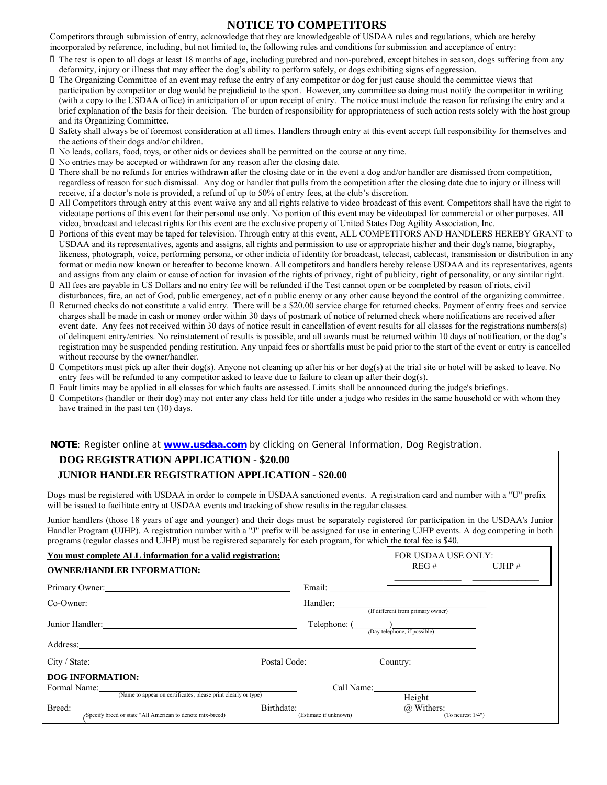#### **NOTICE TO COMPETITORS**

Competitors through submission of entry, acknowledge that they are knowledgeable of USDAA rules and regulations, which are hereby incorporated by reference, including, but not limited to, the following rules and conditions for submission and acceptance of entry:

- The test is open to all dogs at least 18 months of age, including purebred and non-purebred, except bitches in season, dogs suffering from any deformity, injury or illness that may affect the dog's ability to perform safely, or dogs exhibiting signs of aggression.
- The Organizing Committee of an event may refuse the entry of any competitor or dog for just cause should the committee views that participation by competitor or dog would be prejudicial to the sport. However, any committee so doing must notify the competitor in writing (with a copy to the USDAA office) in anticipation of or upon receipt of entry. The notice must include the reason for refusing the entry and a brief explanation of the basis for their decision. The burden of responsibility for appropriateness of such action rests solely with the host group and its Organizing Committee.
- Safety shall always be of foremost consideration at all times. Handlers through entry at this event accept full responsibility for themselves and the actions of their dogs and/or children.
- No leads, collars, food, toys, or other aids or devices shall be permitted on the course at any time.
- No entries may be accepted or withdrawn for any reason after the closing date.
- There shall be no refunds for entries withdrawn after the closing date or in the event a dog and/or handler are dismissed from competition, regardless of reason for such dismissal. Any dog or handler that pulls from the competition after the closing date due to injury or illness will receive, if a doctor's note is provided, a refund of up to 50% of entry fees, at the club's discretion.
- All Competitors through entry at this event waive any and all rights relative to video broadcast of this event. Competitors shall have the right to videotape portions of this event for their personal use only. No portion of this event may be videotaped for commercial or other purposes. All video, broadcast and telecast rights for this event are the exclusive property of United States Dog Agility Association, Inc.
- Portions of this event may be taped for television. Through entry at this event, ALL COMPETITORS AND HANDLERS HEREBY GRANT to USDAA and its representatives, agents and assigns, all rights and permission to use or appropriate his/her and their dog's name, biography, likeness, photograph, voice, performing persona, or other indicia of identity for broadcast, telecast, cablecast, transmission or distribution in any format or media now known or hereafter to become known. All competitors and handlers hereby release USDAA and its representatives, agents and assigns from any claim or cause of action for invasion of the rights of privacy, right of publicity, right of personality, or any similar right.
- All fees are payable in US Dollars and no entry fee will be refunded if the Test cannot open or be completed by reason of riots, civil disturbances, fire, an act of God, public emergency, act of a public enemy or any other cause beyond the control of the organizing committee.
- Returned checks do not constitute a valid entry. There will be a \$20.00 service charge for returned checks. Payment of entry frees and service charges shall be made in cash or money order within 30 days of postmark of notice of returned check where notifications are received after event date. Any fees not received within 30 days of notice result in cancellation of event results for all classes for the registrations numbers(s) of delinquent entry/entries. No reinstatement of results is possible, and all awards must be returned within 10 days of notification, or the dog's registration may be suspended pending restitution. Any unpaid fees or shortfalls must be paid prior to the start of the event or entry is cancelled without recourse by the owner/handler.
- Competitors must pick up after their dog(s). Anyone not cleaning up after his or her dog(s) at the trial site or hotel will be asked to leave. No entry fees will be refunded to any competitor asked to leave due to failure to clean up after their dog(s).
- Fault limits may be applied in all classes for which faults are assessed. Limits shall be announced during the judge's briefings.
- Competitors (handler or their dog) may not enter any class held for title under a judge who resides in the same household or with whom they have trained in the past ten (10) days.

#### **NOTE**: Register online at **www.usdaa.com** by clicking on General Information, Dog Registration.

# **DOG REGISTRATION APPLICATION - \$20.00 JUNIOR HANDLER REGISTRATION APPLICATION - \$20.00**

Dogs must be registered with USDAA in order to compete in USDAA sanctioned events. A registration card and number with a "U" prefix will be issued to facilitate entry at USDAA events and tracking of show results in the regular classes.

Junior handlers (those 18 years of age and younger) and their dogs must be separately registered for participation in the USDAA's Junior Handler Program (UJHP). A registration number with a "J" prefix will be assigned for use in entering UJHP events. A dog competing in both programs (regular classes and UJHP) must be registered separately for each program, for which the total fee is \$40.

| You must complete ALL information for a valid registration:<br><b>OWNER/HANDLER INFORMATION:</b>                                                                                                                               |                       | FOR USDAA USE ONLY:<br>$REG \#$                          | UJHP $#$ |
|--------------------------------------------------------------------------------------------------------------------------------------------------------------------------------------------------------------------------------|-----------------------|----------------------------------------------------------|----------|
| Primary Owner:<br>Co-Owner:                                                                                                                                                                                                    | Handler:              | (If different from primary owner)                        |          |
| Junior Handler: 2008. [19] Daniel Management of the Management of the Management of the Management of the Management of the Management of the Management of the Management of the Management of the Management of the Manageme | Telephone: (          | $\frac{1}{(Day \text{ telephone}, \text{ if possible})}$ |          |
|                                                                                                                                                                                                                                |                       |                                                          |          |
| City / State:                                                                                                                                                                                                                  | Postal Code:          | Country:                                                 |          |
| <b>DOG INFORMATION:</b><br>(Name to appear on certificates; please print clearly or type)                                                                                                                                      |                       | Call Name:<br>Height                                     |          |
| Birthdate:<br>Breed:<br>Specify breed or state "All American to denote mix-breed)                                                                                                                                              | (Estimate if unknown) | @ Withers:<br>(To nearest 1/4")                          |          |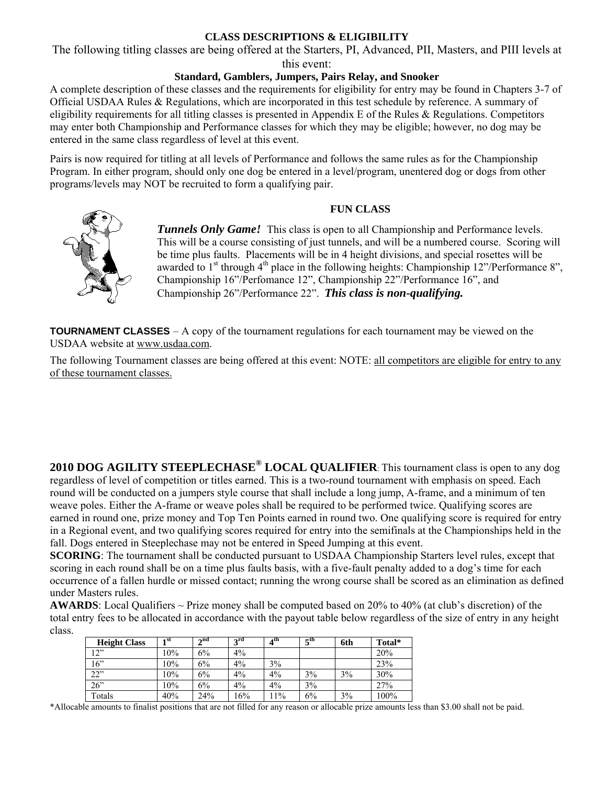## **CLASS DESCRIPTIONS & ELIGIBILITY**

The following titling classes are being offered at the Starters, PI, Advanced, PII, Masters, and PIII levels at

## this event:

## **Standard, Gamblers, Jumpers, Pairs Relay, and Snooker**

A complete description of these classes and the requirements for eligibility for entry may be found in Chapters 3-7 of Official USDAA Rules & Regulations, which are incorporated in this test schedule by reference. A summary of eligibility requirements for all titling classes is presented in Appendix E of the Rules & Regulations. Competitors may enter both Championship and Performance classes for which they may be eligible; however, no dog may be entered in the same class regardless of level at this event.

Pairs is now required for titling at all levels of Performance and follows the same rules as for the Championship Program. In either program, should only one dog be entered in a level/program, unentered dog or dogs from other programs/levels may NOT be recruited to form a qualifying pair.

#### **FUN CLASS**



**Tunnels Only Game!** This class is open to all Championship and Performance levels. This will be a course consisting of just tunnels, and will be a numbered course. Scoring will be time plus faults. Placements will be in 4 height divisions, and special rosettes will be awarded to  $1<sup>st</sup>$  through  $4<sup>th</sup>$  place in the following heights: Championship 12"/Performance 8", Championship 16"/Perfomance 12", Championship 22"/Performance 16", and Championship 26"/Performance 22". *This class is non-qualifying.*

**TOURNAMENT CLASSES** – A copy of the tournament regulations for each tournament may be viewed on the USDAA website at www.usdaa.com.

The following Tournament classes are being offered at this event: NOTE: all competitors are eligible for entry to any of these tournament classes.

**2010 DOG AGILITY STEEPLECHASE® LOCAL QUALIFIER**: This tournament class is open to any dog regardless of level of competition or titles earned. This is a two-round tournament with emphasis on speed. Each round will be conducted on a jumpers style course that shall include a long jump, A-frame, and a minimum of ten weave poles. Either the A-frame or weave poles shall be required to be performed twice. Qualifying scores are earned in round one, prize money and Top Ten Points earned in round two. One qualifying score is required for entry in a Regional event, and two qualifying scores required for entry into the semifinals at the Championships held in the fall. Dogs entered in Steeplechase may not be entered in Speed Jumping at this event.

**SCORING**: The tournament shall be conducted pursuant to USDAA Championship Starters level rules, except that scoring in each round shall be on a time plus faults basis, with a five-fault penalty added to a dog's time for each occurrence of a fallen hurdle or missed contact; running the wrong course shall be scored as an elimination as defined under Masters rules.

**AWARDS**: Local Qualifiers ~ Prize money shall be computed based on 20% to 40% (at club's discretion) of the total entry fees to be allocated in accordance with the payout table below regardless of the size of entry in any height class.

| <b>Height Class</b> | 1 st | $\boldsymbol{\gamma}$ nd | $2^{\text{rd}}$ | 4 <sup>th</sup> | 5 <sup>th</sup> | 6th | Total* |
|---------------------|------|--------------------------|-----------------|-----------------|-----------------|-----|--------|
| 12"                 | 10%  | 6%                       | 4%              |                 |                 |     | 20%    |
| 16"                 | 10%  | 6%                       | 4%              | 3%              |                 |     | 23%    |
| 22"                 | 10%  | 6%                       | 4%              | 4%              | 3%              | 3%  | 30%    |
| 26"                 | 10%  | 6%                       | 4%              | 4%              | 3%              |     | 27%    |
| Totals              | 40%  | 24%                      | 16%             | 11%             | 6%              | 3%  | 100%   |

\*Allocable amounts to finalist positions that are not filled for any reason or allocable prize amounts less than \$3.00 shall not be paid.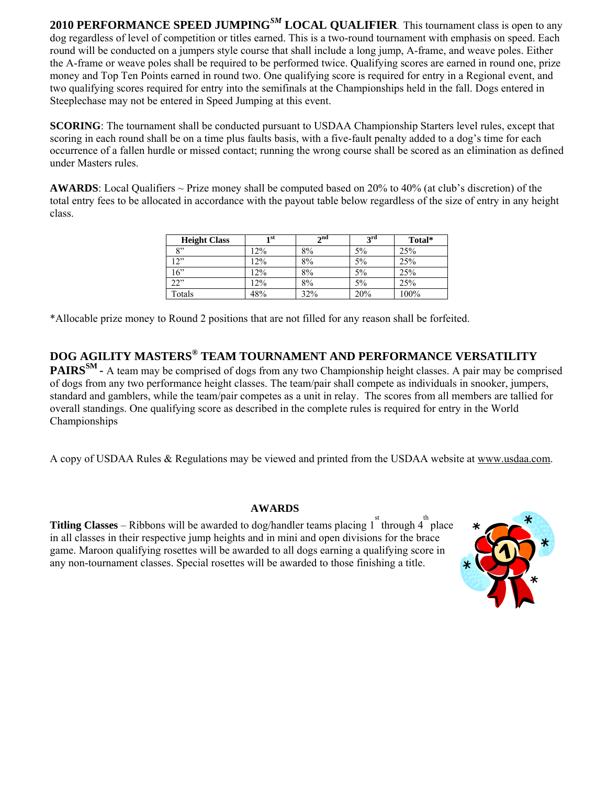**2010 PERFORMANCE SPEED JUMPING***SM* **LOCAL QUALIFIER**. This tournament class is open to any dog regardless of level of competition or titles earned. This is a two-round tournament with emphasis on speed. Each round will be conducted on a jumpers style course that shall include a long jump, A-frame, and weave poles. Either the A-frame or weave poles shall be required to be performed twice. Qualifying scores are earned in round one, prize money and Top Ten Points earned in round two. One qualifying score is required for entry in a Regional event, and two qualifying scores required for entry into the semifinals at the Championships held in the fall. Dogs entered in Steeplechase may not be entered in Speed Jumping at this event.

**SCORING**: The tournament shall be conducted pursuant to USDAA Championship Starters level rules, except that scoring in each round shall be on a time plus faults basis, with a five-fault penalty added to a dog's time for each occurrence of a fallen hurdle or missed contact; running the wrong course shall be scored as an elimination as defined under Masters rules.

**AWARDS**: Local Qualifiers ~ Prize money shall be computed based on 20% to 40% (at club's discretion) of the total entry fees to be allocated in accordance with the payout table below regardless of the size of entry in any height class.

| <b>Height Class</b> | 1 st | $\lambda$ nd | $2^{\text{rd}}$ | Total* |
|---------------------|------|--------------|-----------------|--------|
| $Q$ <sup>22</sup>   | 12%  | 8%           | 5%              | 25%    |
| 12"                 | 12%  | 8%           | 5%              | 25%    |
| 16"                 | 12%  | 8%           | 5%              | 25%    |
| 22"                 | 12%  | 8%           | 5%              | 25%    |
| Totals              | 48%  | 32%          | 20%             | 100%   |

\*Allocable prize money to Round 2 positions that are not filled for any reason shall be forfeited.

**DOG AGILITY MASTERS® TEAM TOURNAMENT AND PERFORMANCE VERSATILITY PAIRS<sup>SM</sup>** - A team may be comprised of dogs from any two Championship height classes. A pair may be comprised of dogs from any two performance height classes. The team/pair shall compete as individuals in snooker, jumpers, standard and gamblers, while the team/pair competes as a unit in relay. The scores from all members are tallied for overall standings. One qualifying score as described in the complete rules is required for entry in the World Championships

A copy of USDAA Rules & Regulations may be viewed and printed from the USDAA website at www.usdaa.com.

### **AWARDS**

**Titling Classes** – Ribbons will be awarded to dog/handler teams placing  $1^{st}$  through  $4^{th}$  place in all classes in their respective jump heights and in mini and open divisions for the brace game. Maroon qualifying rosettes will be awarded to all dogs earning a qualifying score in any non-tournament classes. Special rosettes will be awarded to those finishing a title.

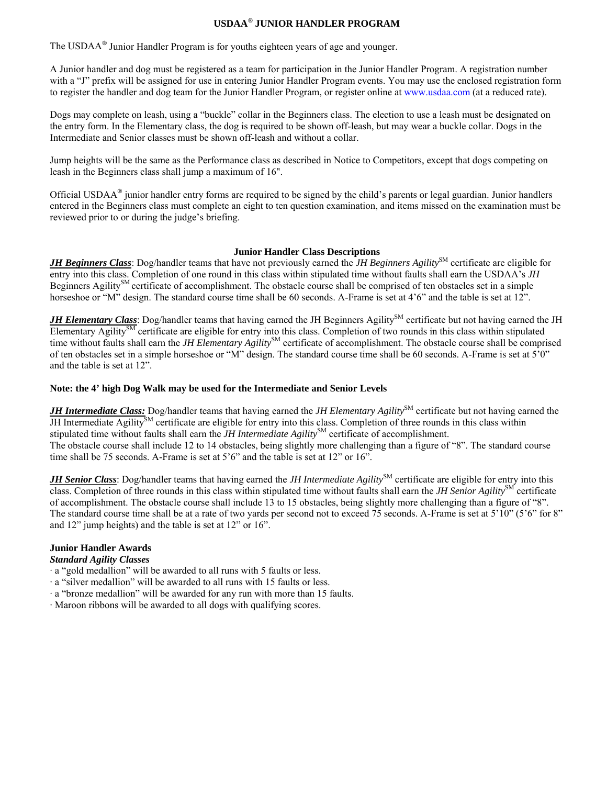### **USDAA***®* **JUNIOR HANDLER PROGRAM**

The USDAA*®* Junior Handler Program is for youths eighteen years of age and younger.

A Junior handler and dog must be registered as a team for participation in the Junior Handler Program. A registration number with a "J" prefix will be assigned for use in entering Junior Handler Program events. You may use the enclosed registration form to register the handler and dog team for the Junior Handler Program, or register online at www.usdaa.com (at a reduced rate).

Dogs may complete on leash, using a "buckle" collar in the Beginners class. The election to use a leash must be designated on the entry form. In the Elementary class, the dog is required to be shown off-leash, but may wear a buckle collar. Dogs in the Intermediate and Senior classes must be shown off-leash and without a collar.

Jump heights will be the same as the Performance class as described in Notice to Competitors, except that dogs competing on leash in the Beginners class shall jump a maximum of 16".

Official USDAA*®* junior handler entry forms are required to be signed by the child's parents or legal guardian. Junior handlers entered in the Beginners class must complete an eight to ten question examination, and items missed on the examination must be reviewed prior to or during the judge's briefing.

#### **Junior Handler Class Descriptions**

*JH Beginners Class*: Dog/handler teams that have not previously earned the *JH Beginners Agility*<sup>SM</sup> certificate are eligible for entry into this class. Completion of one round in this class within stipulated time without faults shall earn the USDAA's *JH*  Beginners Agility<sup>SM</sup> certificate of accomplishment. The obstacle course shall be comprised of ten obstacles set in a simple horseshoe or "M" design. The standard course time shall be 60 seconds. A-Frame is set at 4'6" and the table is set at 12".

*JH Elementary Class*: Dog/handler teams that having earned the JH Beginners Agility<sup>SM</sup> certificate but not having earned the JH Elementary Agility<sup>SM</sup> certificate are eligible for entry into this class. Completion of two rounds in this class within stipulated time without faults shall earn the *JH Elementary Agility*<sup>SM</sup> certificate of accomplishment. The obstacle course shall be comprised of ten obstacles set in a simple horseshoe or "M" design. The standard course time shall be 60 seconds. A-Frame is set at 5'0" and the table is set at 12".

#### **Note: the 4' high Dog Walk may be used for the Intermediate and Senior Levels**

*JH Intermediate Class:* Dog/handler teams that having earned the *JH Elementary Agility*SM certificate but not having earned the JH Intermediate Agility<sup>SM</sup> certificate are eligible for entry into this class. Completion of three rounds in this class within stipulated time without faults shall earn the *JH Intermediate Agility*<sup>SM</sup> certificate of accomplishment. The obstacle course shall include 12 to 14 obstacles, being slightly more challenging than a figure of "8". The standard course time shall be 75 seconds. A-Frame is set at 5'6" and the table is set at 12" or 16".

*JH Senior Class*: Dog/handler teams that having earned the *JH Intermediate Agility*<sup>SM</sup> certificate are eligible for entry into this class. Completion of three rounds in this class within stipulated time without faults shall earn the *JH Senior Agility*<sup>SM</sup> certificate of accomplishment. The obstacle course shall include 13 to 15 obstacles, being slightly more challenging than a figure of "8". The standard course time shall be at a rate of two yards per second not to exceed 75 seconds. A-Frame is set at 5'10" (5'6" for 8" and 12" jump heights) and the table is set at 12" or 16".

#### **Junior Handler Awards**

#### *Standard Agility Classes*

- · a "gold medallion" will be awarded to all runs with 5 faults or less.
- · a "silver medallion" will be awarded to all runs with 15 faults or less.
- · a "bronze medallion" will be awarded for any run with more than 15 faults.
- · Maroon ribbons will be awarded to all dogs with qualifying scores.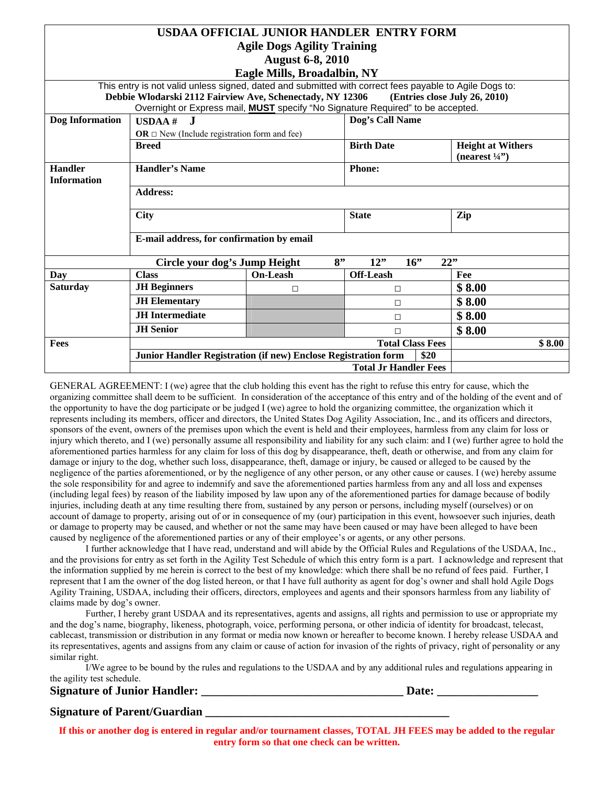|                    |                                                                                                        | USDAA OFFICIAL JUNIOR HANDLER ENTRY FORM |                              |      |                               |
|--------------------|--------------------------------------------------------------------------------------------------------|------------------------------------------|------------------------------|------|-------------------------------|
|                    |                                                                                                        | <b>Agile Dogs Agility Training</b>       |                              |      |                               |
|                    |                                                                                                        | <b>August 6-8, 2010</b>                  |                              |      |                               |
|                    |                                                                                                        | Eagle Mills, Broadalbin, NY              |                              |      |                               |
|                    | This entry is not valid unless signed, dated and submitted with correct fees payable to Agile Dogs to: |                                          |                              |      |                               |
|                    | Debbie Wlodarski 2112 Fairview Ave, Schenectady, NY 12306                                              |                                          |                              |      | (Entries close July 26, 2010) |
| Dog Information    | Overnight or Express mail, <b>MUST</b> specify "No Signature Required" to be accepted.<br>- .T         |                                          | Dog's Call Name              |      |                               |
|                    | $USDAA$ #                                                                                              |                                          |                              |      |                               |
|                    | OR $\Box$ New (Include registration form and fee)<br><b>Breed</b>                                      |                                          | <b>Birth Date</b>            |      | <b>Height at Withers</b>      |
|                    |                                                                                                        |                                          |                              |      | (nearest $\frac{1}{4}$ )      |
| <b>Handler</b>     | <b>Handler's Name</b>                                                                                  |                                          | <b>Phone:</b>                |      |                               |
| <b>Information</b> |                                                                                                        |                                          |                              |      |                               |
|                    | <b>Address:</b>                                                                                        |                                          |                              |      |                               |
|                    |                                                                                                        |                                          |                              |      |                               |
|                    | <b>City</b>                                                                                            |                                          | <b>State</b>                 |      | Zip                           |
|                    | E-mail address, for confirmation by email                                                              |                                          |                              |      |                               |
|                    |                                                                                                        |                                          |                              |      |                               |
|                    | Circle your dog's Jump Height                                                                          | 8"                                       | 12"<br>16                    | 22"  |                               |
| Day                | <b>Class</b>                                                                                           | <b>On-Leash</b>                          | <b>Off-Leash</b>             |      | Fee                           |
| <b>Saturday</b>    | <b>JH</b> Beginners                                                                                    | $\Box$                                   | $\Box$                       |      | \$8.00                        |
|                    | <b>JH</b> Elementary                                                                                   |                                          | П                            |      | \$8.00                        |
|                    | <b>JH</b> Intermediate                                                                                 |                                          | П                            |      | \$8.00                        |
|                    | <b>JH</b> Senior                                                                                       |                                          | $\Box$                       |      | \$8.00                        |
| Fees               |                                                                                                        |                                          | <b>Total Class Fees</b>      |      | \$8.00                        |
|                    | Junior Handler Registration (if new) Enclose Registration form                                         |                                          |                              | \$20 |                               |
|                    |                                                                                                        |                                          | <b>Total Jr Handler Fees</b> |      |                               |

GENERAL AGREEMENT: I (we) agree that the club holding this event has the right to refuse this entry for cause, which the organizing committee shall deem to be sufficient. In consideration of the acceptance of this entry and of the holding of the event and of the opportunity to have the dog participate or be judged I (we) agree to hold the organizing committee, the organization which it represents including its members, officer and directors, the United States Dog Agility Association, Inc., and its officers and directors, sponsors of the event, owners of the premises upon which the event is held and their employees, harmless from any claim for loss or injury which thereto, and I (we) personally assume all responsibility and liability for any such claim: and I (we) further agree to hold the aforementioned parties harmless for any claim for loss of this dog by disappearance, theft, death or otherwise, and from any claim for damage or injury to the dog, whether such loss, disappearance, theft, damage or injury, be caused or alleged to be caused by the negligence of the parties aforementioned, or by the negligence of any other person, or any other cause or causes. I (we) hereby assume the sole responsibility for and agree to indemnify and save the aforementioned parties harmless from any and all loss and expenses (including legal fees) by reason of the liability imposed by law upon any of the aforementioned parties for damage because of bodily injuries, including death at any time resulting there from, sustained by any person or persons, including myself (ourselves) or on account of damage to property, arising out of or in consequence of my (our) participation in this event, howsoever such injuries, death or damage to property may be caused, and whether or not the same may have been caused or may have been alleged to have been caused by negligence of the aforementioned parties or any of their employee's or agents, or any other persons.

I further acknowledge that I have read, understand and will abide by the Official Rules and Regulations of the USDAA, Inc., and the provisions for entry as set forth in the Agility Test Schedule of which this entry form is a part. I acknowledge and represent that the information supplied by me herein is correct to the best of my knowledge: which there shall be no refund of fees paid. Further, I represent that I am the owner of the dog listed hereon, or that I have full authority as agent for dog's owner and shall hold Agile Dogs Agility Training, USDAA, including their officers, directors, employees and agents and their sponsors harmless from any liability of claims made by dog's owner.

Further, I hereby grant USDAA and its representatives, agents and assigns, all rights and permission to use or appropriate my and the dog's name, biography, likeness, photograph, voice, performing persona, or other indicia of identity for broadcast, telecast, cablecast, transmission or distribution in any format or media now known or hereafter to become known. I hereby release USDAA and its representatives, agents and assigns from any claim or cause of action for invasion of the rights of privacy, right of personality or any similar right.

I/We agree to be bound by the rules and regulations to the USDAA and by any additional rules and regulations appearing in the agility test schedule.

| <b>Signature of Junior Handler:</b> | <b>Date:</b> |  |
|-------------------------------------|--------------|--|
|                                     |              |  |

### **Signature of Parent/Guardian**

**If this or another dog is entered in regular and/or tournament classes, TOTAL JH FEES may be added to the regular entry form so that one check can be written.**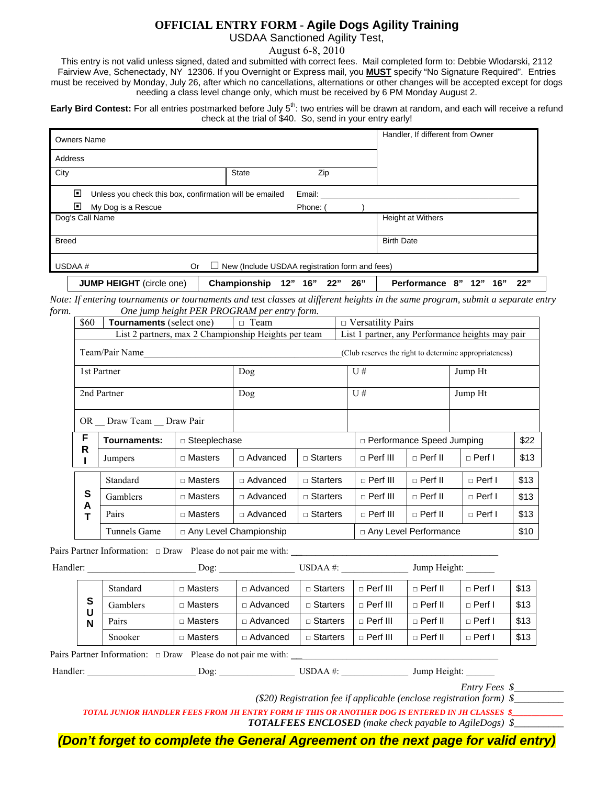### **OFFICIAL ENTRY FORM - Agile Dogs Agility Training**

USDAA Sanctioned Agility Test,

August 6-8, 2010

This entry is not valid unless signed, dated and submitted with correct fees. Mail completed form to: Debbie Wlodarski, 2112 Fairview Ave, Schenectady, NY 12306. If you Overnight or Express mail, you **MUST** specify "No Signature Required". Entries must be received by Monday, July 26, after which no cancellations, alternations or other changes will be accepted except for dogs needing a class level change only, which must be received by 6 PM Monday August 2.

**Early Bird Contest:** For all entries postmarked before July 5<sup>th</sup>: two entries will be drawn at random, and each will receive a refund check at the trial of \$40. So, send in your entry early!

| <b>Owners Name</b>                                           |              |                                                | Handler, If different from Owner              |
|--------------------------------------------------------------|--------------|------------------------------------------------|-----------------------------------------------|
| Address                                                      |              |                                                |                                               |
| City                                                         | State        | Zip                                            |                                               |
| ⊡<br>Unless you check this box, confirmation will be emailed |              | Email:                                         |                                               |
| ⊡<br>My Dog is a Rescue                                      |              | Phone: (                                       |                                               |
| Dog's Call Name                                              |              |                                                | Height at Withers                             |
| <b>Breed</b>                                                 |              |                                                | <b>Birth Date</b>                             |
| USDAA#<br><b>Or</b><br>$\Box$                                |              | New (Include USDAA registration form and fees) |                                               |
| <b>JUMP HEIGHT</b> (circle one)                              | Championship | 16"<br>12"<br>26"<br>22"                       | <b>Performance</b><br>22"<br>8"<br>16"<br>12" |

*Note: If entering tournaments or tournaments and test classes at different heights in the same program, submit a separate entry form.* One jump height PER PROGRAM p

| m. |        |                                 |                | One jump neight FER FROGRAM per entry jorm.          |                 |                                                        |                |               |      |
|----|--------|---------------------------------|----------------|------------------------------------------------------|-----------------|--------------------------------------------------------|----------------|---------------|------|
|    | \$60   | <b>Tournaments</b> (select one) |                | $\Box$ Team                                          |                 | $\Box$ Versatility Pairs                               |                |               |      |
|    |        |                                 |                | List 2 partners, max 2 Championship Heights per team |                 | List 1 partner, any Performance heights may pair       |                |               |      |
|    |        | Team/Pair Name                  |                |                                                      |                 | (Club reserves the right to determine appropriateness) |                |               |      |
|    |        | 1st Partner                     |                | Dog                                                  |                 | U#                                                     |                | Jump Ht       |      |
|    |        | 2nd Partner                     |                | Dog                                                  |                 | U#                                                     |                | Jump Ht       |      |
|    |        | OR Draw Team Draw Pair          |                |                                                      |                 |                                                        |                |               |      |
|    | F      | Tournaments:                    | □ Steeplechase |                                                      |                 | □ Performance Speed Jumping                            |                |               | \$22 |
|    | R      | Jumpers                         | □ Masters      | □ Advanced                                           | $\Box$ Starters | $\Box$ Perf III                                        | $\Box$ Perf II | $\Box$ Perf I | \$13 |
|    |        | Standard                        | □ Masters      | □ Advanced                                           | $\Box$ Starters | $\Box$ Perf III                                        | $\Box$ Perf II | □ Perf I      | \$13 |
|    | S<br>A | Gamblers                        | $\Box$ Masters | □ Advanced                                           | □ Starters      | $\Box$ Perf III                                        | $\Box$ Perf II | □ Perf I      | \$13 |
|    | Т      | Pairs                           | □ Masters      | □ Advanced                                           | □ Starters      | $\Box$ Perf III                                        | $\Box$ Perf II | □ Perf I      | \$13 |
|    |        | Tunnels Game                    |                | □ Any Level Championship                             |                 | □ Any Level Performance                                |                |               | \$10 |

Pairs Partner Information: □ Draw Please do not pair me with: \_\_\_\_\_\_\_\_\_\_\_\_\_\_\_\_\_\_

| Handler: |        |                                                                           | Dog:           |                 | $\overline{\text{USDAA}}$ #: |                   | Jump Height:     |                 |                                                                                                                                                                                                                                |
|----------|--------|---------------------------------------------------------------------------|----------------|-----------------|------------------------------|-------------------|------------------|-----------------|--------------------------------------------------------------------------------------------------------------------------------------------------------------------------------------------------------------------------------|
|          |        | Standard                                                                  | $\Box$ Masters | $\Box$ Advanced | $\Box$ Starters              | $\sqcap$ Perf III | $\sqcap$ Perf II | $\sqcap$ Perf I | \$13                                                                                                                                                                                                                           |
|          | S<br>U | Gamblers                                                                  | $\Box$ Masters | □ Advanced      | $\Box$ Starters              | $\Box$ Perf III   | $\Box$ Perf II   | $\Box$ Perf I   | \$13                                                                                                                                                                                                                           |
|          | N      | Pairs                                                                     | $\Box$ Masters | $\Box$ Advanced | $\Box$ Starters              | $\sqcap$ Perf III | $\sqcap$ Perf II | $\Box$ Perf I   | \$13                                                                                                                                                                                                                           |
|          |        | Snooker                                                                   | $\Box$ Masters | □ Advanced      | $\Box$ Starters              | $\Box$ Perf III   | $\Box$ Perf II   | $\Box$ Perf I   | \$13                                                                                                                                                                                                                           |
|          |        | Pairs Partner Information: $\Box$ Draw Please do not pair me with: $\Box$ |                |                 |                              |                   |                  |                 |                                                                                                                                                                                                                                |
| Handler: |        |                                                                           | Dog:           |                 | USDAA #:                     |                   | Jump Height:     |                 |                                                                                                                                                                                                                                |
|          |        |                                                                           |                |                 |                              |                   |                  |                 | and the contract of the contract of the contract of the contract of the contract of the contract of the contract of the contract of the contract of the contract of the contract of the contract of the contract of the contra |

 *Entry Fees \$\_\_\_\_\_\_\_\_\_\_* 

 *(\$20) Registration fee if applicable (enclose registration form) \$\_\_\_\_\_\_\_\_\_\_* 

*TOTAL JUNIOR HANDLER FEES FROM JH ENTRY FORM IF THIS OR ANOTHER DOG IS ENTERED IN JH CLASSES \$\_\_\_\_\_\_\_\_\_\_\_\_\_* 

 *TOTALFEES ENCLOSED (make check payable to AgileDogs) \$\_\_\_\_\_\_\_\_\_\_*

*(Don't forget to complete the General Agreement on the next page for valid entry)*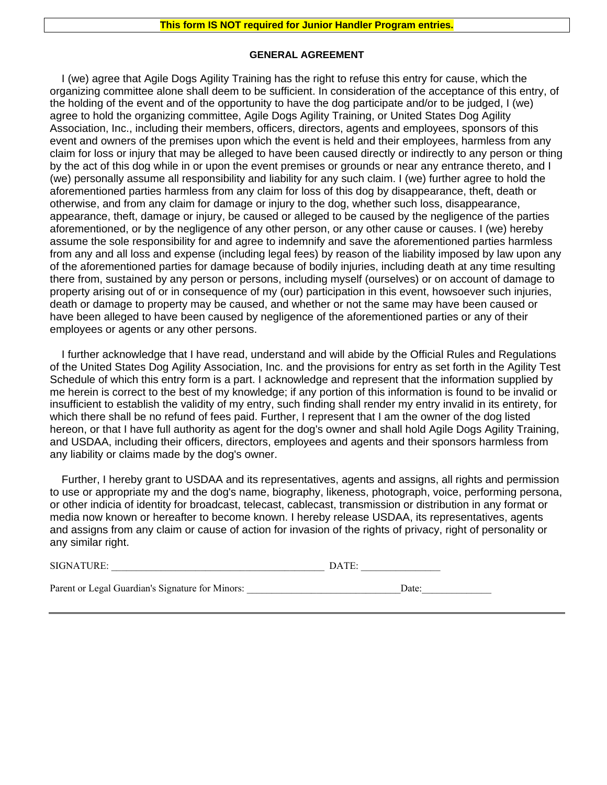#### **GENERAL AGREEMENT**

I (we) agree that Agile Dogs Agility Training has the right to refuse this entry for cause, which the organizing committee alone shall deem to be sufficient. In consideration of the acceptance of this entry, of the holding of the event and of the opportunity to have the dog participate and/or to be judged, I (we) agree to hold the organizing committee, Agile Dogs Agility Training, or United States Dog Agility Association, Inc., including their members, officers, directors, agents and employees, sponsors of this event and owners of the premises upon which the event is held and their employees, harmless from any claim for loss or injury that may be alleged to have been caused directly or indirectly to any person or thing by the act of this dog while in or upon the event premises or grounds or near any entrance thereto, and I (we) personally assume all responsibility and liability for any such claim. I (we) further agree to hold the aforementioned parties harmless from any claim for loss of this dog by disappearance, theft, death or otherwise, and from any claim for damage or injury to the dog, whether such loss, disappearance, appearance, theft, damage or injury, be caused or alleged to be caused by the negligence of the parties aforementioned, or by the negligence of any other person, or any other cause or causes. I (we) hereby assume the sole responsibility for and agree to indemnify and save the aforementioned parties harmless from any and all loss and expense (including legal fees) by reason of the liability imposed by law upon any of the aforementioned parties for damage because of bodily injuries, including death at any time resulting there from, sustained by any person or persons, including myself (ourselves) or on account of damage to property arising out of or in consequence of my (our) participation in this event, howsoever such injuries, death or damage to property may be caused, and whether or not the same may have been caused or have been alleged to have been caused by negligence of the aforementioned parties or any of their employees or agents or any other persons.

I further acknowledge that I have read, understand and will abide by the Official Rules and Regulations of the United States Dog Agility Association, Inc. and the provisions for entry as set forth in the Agility Test Schedule of which this entry form is a part. I acknowledge and represent that the information supplied by me herein is correct to the best of my knowledge; if any portion of this information is found to be invalid or insufficient to establish the validity of my entry, such finding shall render my entry invalid in its entirety, for which there shall be no refund of fees paid. Further, I represent that I am the owner of the dog listed hereon, or that I have full authority as agent for the dog's owner and shall hold Agile Dogs Agility Training, and USDAA, including their officers, directors, employees and agents and their sponsors harmless from any liability or claims made by the dog's owner.

Further, I hereby grant to USDAA and its representatives, agents and assigns, all rights and permission to use or appropriate my and the dog's name, biography, likeness, photograph, voice, performing persona, or other indicia of identity for broadcast, telecast, cablecast, transmission or distribution in any format or media now known or hereafter to become known. I hereby release USDAA, its representatives, agents and assigns from any claim or cause of action for invasion of the rights of privacy, right of personality or any similar right.

| <b>SIGNATURE:</b> |
|-------------------|
|-------------------|

Parent or Legal Guardian's Signature for Minors: \_\_\_\_\_\_\_\_\_\_\_\_\_\_\_\_\_\_\_\_\_\_\_\_\_\_\_\_\_\_Date: